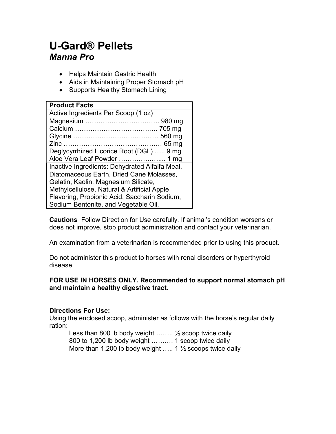# U-Gard® Pellets Manna Pro

- Helps Maintain Gastric Health
- Aids in Maintaining Proper Stomach pH
- Supports Healthy Stomach Lining

Cautions Follow Direction for Use carefully. If animal's condition worsens or does not improve, stop product administration and contact your veterinarian.

An examination from a veterinarian is recommended prior to using this product.

Do not administer this product to horses with renal disorders or hyperthyroid disease.

#### FOR USE IN HORSES ONLY. Recommended to support normal stomach pH and maintain a healthy digestive tract.

### Directions For Use:

Using the enclosed scoop, administer as follows with the horse's regular daily ration:

Less than 800 lb body weight  $\ldots$  % Scoop twice daily 800 to 1,200 lb body weight ………. 1 scoop twice daily More than 1,200 lb body weight ..... 1  $\frac{1}{2}$  scoops twice daily